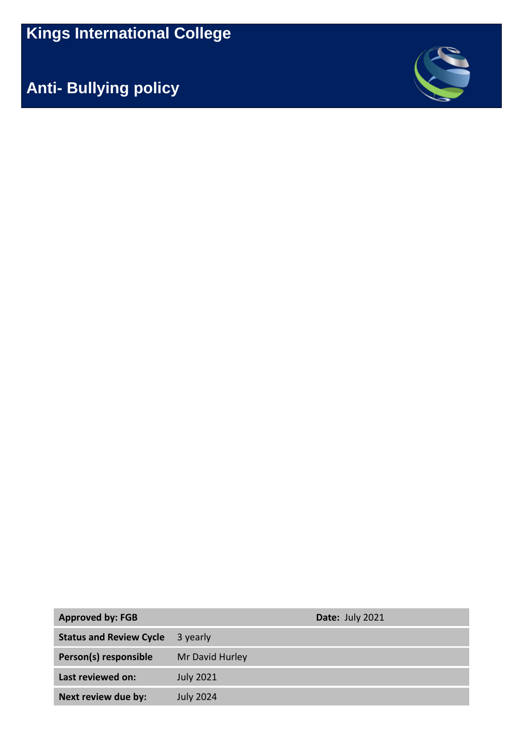**Kings International College**

**Anti- Bullying policy**



| <b>Approved by: FGB</b>        |                  | Date: July 2021 |
|--------------------------------|------------------|-----------------|
| <b>Status and Review Cycle</b> | 3 yearly         |                 |
| Person(s) responsible          | Mr David Hurley  |                 |
| Last reviewed on:              | <b>July 2021</b> |                 |
| Next review due by:            | <b>July 2024</b> |                 |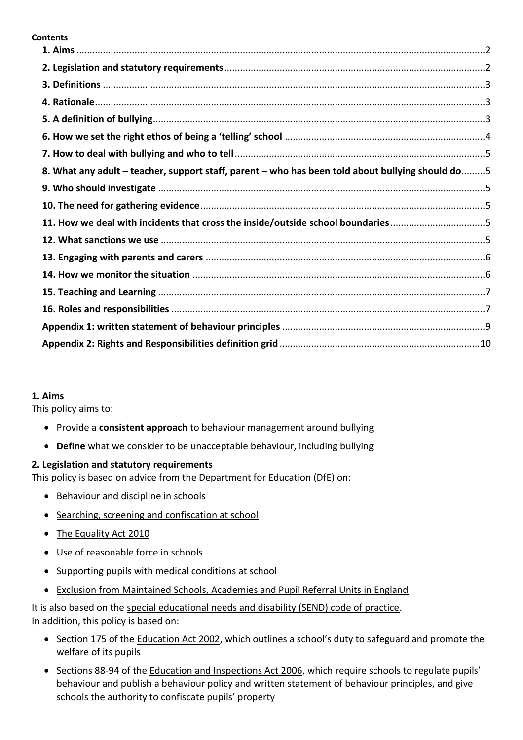#### **Contents**

| 8. What any adult – teacher, support staff, parent – who has been told about bullying should do5 |  |
|--------------------------------------------------------------------------------------------------|--|
|                                                                                                  |  |
|                                                                                                  |  |
| 11. How we deal with incidents that cross the inside/outside school boundaries                   |  |
|                                                                                                  |  |
|                                                                                                  |  |
|                                                                                                  |  |
|                                                                                                  |  |
|                                                                                                  |  |
|                                                                                                  |  |
|                                                                                                  |  |

#### <span id="page-1-0"></span>**1. Aims**

This policy aims to:

- Provide a **consistent approach** to behaviour management around bullying
- **Define** what we consider to be unacceptable behaviour, including bullying

### <span id="page-1-1"></span>**2. Legislation and statutory requirements**

This policy is based on advice from the Department for Education (DfE) on:

- [Behaviour and discipline in schools](https://www.gov.uk/government/publications/behaviour-and-discipline-in-schools)
- [Searching, screening and confiscation at school](https://www.gov.uk/government/publications/searching-screening-and-confiscation)
- [The Equality Act 2010](https://www.gov.uk/government/publications/equality-act-2010-advice-for-schools)
- [Use of reasonable force in schools](https://www.gov.uk/government/publications/use-of-reasonable-force-in-schools)
- [Supporting pupils with medical conditions at school](https://www.gov.uk/government/publications/supporting-pupils-at-school-with-medical-conditions--3)
- [Exclusion from Maintained Schools, Academies and Pupil Referral Units in England](https://assets.publishing.service.gov.uk/government/uploads/system/uploads/attachment_data/file/641418/20170831_Exclusion_Stat_guidance_Web_version.pdf)

It is also based on the [special educational needs and disability \(SEND\) code of practice.](https://www.gov.uk/government/publications/send-code-of-practice-0-to-25) In addition, this policy is based on:

- Section 175 of th[e Education Act 2002](http://www.legislation.gov.uk/ukpga/2002/32/section/175), which outlines a school's duty to safeguard and promote the welfare of its pupils
- Sections 88-94 of the [Education and Inspections Act 2006](http://www.legislation.gov.uk/ukpga/2006/40/section/88), which require schools to regulate pupils' behaviour and publish a behaviour policy and written statement of behaviour principles, and give schools the authority to confiscate pupils' property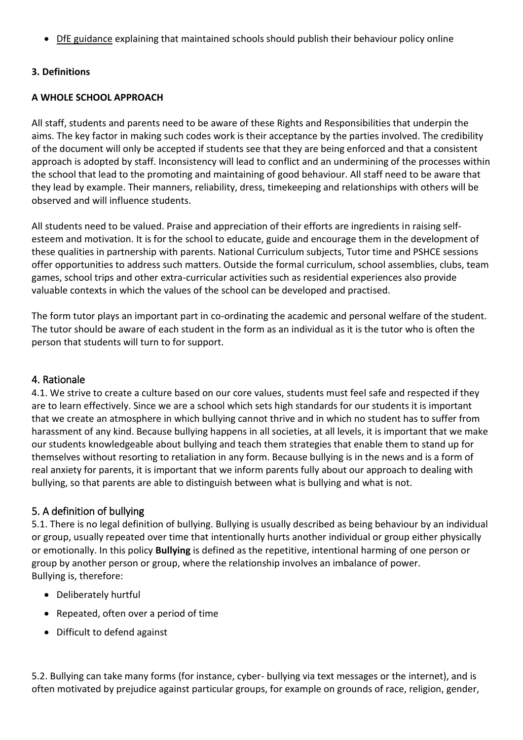• DHE guidance explaining that maintained schools should publish their behaviour policy online

### <span id="page-2-0"></span>**3. Definitions**

### **A WHOLE SCHOOL APPROACH**

All staff, students and parents need to be aware of these Rights and Responsibilities that underpin the aims. The key factor in making such codes work is their acceptance by the parties involved. The credibility of the document will only be accepted if students see that they are being enforced and that a consistent approach is adopted by staff. Inconsistency will lead to conflict and an undermining of the processes within the school that lead to the promoting and maintaining of good behaviour. All staff need to be aware that they lead by example. Their manners, reliability, dress, timekeeping and relationships with others will be observed and will influence students.

All students need to be valued. Praise and appreciation of their efforts are ingredients in raising selfesteem and motivation. It is for the school to educate, guide and encourage them in the development of these qualities in partnership with parents. National Curriculum subjects, Tutor time and PSHCE sessions offer opportunities to address such matters. Outside the formal curriculum, school assemblies, clubs, team games, school trips and other extra-curricular activities such as residential experiences also provide valuable contexts in which the values of the school can be developed and practised.

The form tutor plays an important part in co-ordinating the academic and personal welfare of the student. The tutor should be aware of each student in the form as an individual as it is the tutor who is often the person that students will turn to for support.

### <span id="page-2-1"></span>4. Rationale

4.1. We strive to create a culture based on our core values, students must feel safe and respected if they are to learn effectively. Since we are a school which sets high standards for our students it is important that we create an atmosphere in which bullying cannot thrive and in which no student has to suffer from harassment of any kind. Because bullying happens in all societies, at all levels, it is important that we make our students knowledgeable about bullying and teach them strategies that enable them to stand up for themselves without resorting to retaliation in any form. Because bullying is in the news and is a form of real anxiety for parents, it is important that we inform parents fully about our approach to dealing with bullying, so that parents are able to distinguish between what is bullying and what is not.

### <span id="page-2-2"></span>5. A definition of bullying

5.1. There is no legal definition of bullying. Bullying is usually described as being behaviour by an individual or group, usually repeated over time that intentionally hurts another individual or group either physically or emotionally. In this policy **Bullying** is defined as the repetitive, intentional harming of one person or group by another person or group, where the relationship involves an imbalance of power. Bullying is, therefore:

- Deliberately hurtful
- Repeated, often over a period of time
- Difficult to defend against

5.2. Bullying can take many forms (for instance, cyber- bullying via text messages or the internet), and is often motivated by prejudice against particular groups, for example on grounds of race, religion, gender,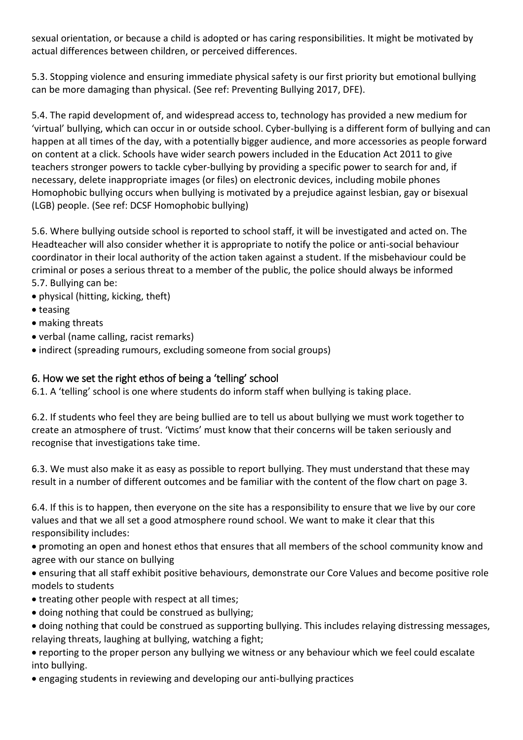sexual orientation, or because a child is adopted or has caring responsibilities. It might be motivated by actual differences between children, or perceived differences.

5.3. Stopping violence and ensuring immediate physical safety is our first priority but emotional bullying can be more damaging than physical. (See ref: Preventing Bullying 2017, DFE).

5.4. The rapid development of, and widespread access to, technology has provided a new medium for 'virtual' bullying, which can occur in or outside school. Cyber-bullying is a different form of bullying and can happen at all times of the day, with a potentially bigger audience, and more accessories as people forward on content at a click. Schools have wider search powers included in the Education Act 2011 to give teachers stronger powers to tackle cyber-bullying by providing a specific power to search for and, if necessary, delete inappropriate images (or files) on electronic devices, including mobile phones Homophobic bullying occurs when bullying is motivated by a prejudice against lesbian, gay or bisexual (LGB) people. (See ref: DCSF Homophobic bullying)

5.6. Where bullying outside school is reported to school staff, it will be investigated and acted on. The Headteacher will also consider whether it is appropriate to notify the police or anti-social behaviour coordinator in their local authority of the action taken against a student. If the misbehaviour could be criminal or poses a serious threat to a member of the public, the police should always be informed 5.7. Bullying can be:

- physical (hitting, kicking, theft)
- teasing
- making threats
- verbal (name calling, racist remarks)
- indirect (spreading rumours, excluding someone from social groups)

# <span id="page-3-0"></span>6. How we set the right ethos of being a 'telling' school

6.1. A 'telling' school is one where students do inform staff when bullying is taking place.

6.2. If students who feel they are being bullied are to tell us about bullying we must work together to create an atmosphere of trust. 'Victims' must know that their concerns will be taken seriously and recognise that investigations take time.

6.3. We must also make it as easy as possible to report bullying. They must understand that these may result in a number of different outcomes and be familiar with the content of the flow chart on page 3.

6.4. If this is to happen, then everyone on the site has a responsibility to ensure that we live by our core values and that we all set a good atmosphere round school. We want to make it clear that this responsibility includes:

• promoting an open and honest ethos that ensures that all members of the school community know and agree with our stance on bullying

• ensuring that all staff exhibit positive behaviours, demonstrate our Core Values and become positive role models to students

- treating other people with respect at all times;
- doing nothing that could be construed as bullying;
- doing nothing that could be construed as supporting bullying. This includes relaying distressing messages, relaying threats, laughing at bullying, watching a fight;
- reporting to the proper person any bullying we witness or any behaviour which we feel could escalate into bullying.
- engaging students in reviewing and developing our anti-bullying practices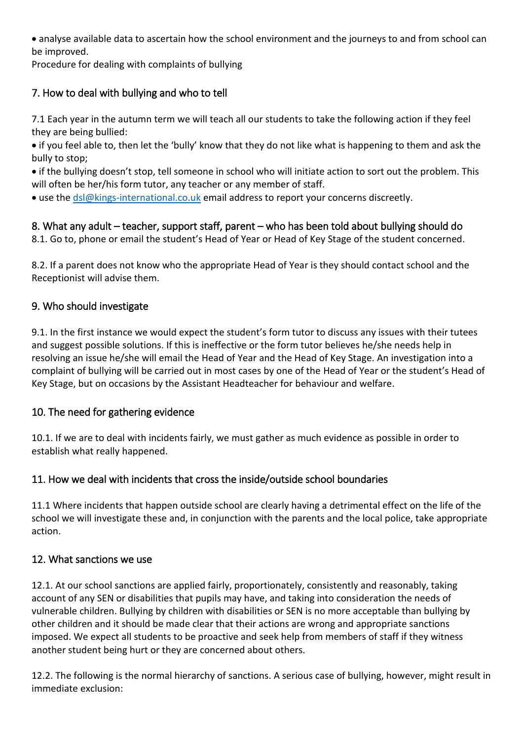• analyse available data to ascertain how the school environment and the journeys to and from school can be improved.

Procedure for dealing with complaints of bullying

# <span id="page-4-0"></span>7. How to deal with bullying and who to tell

7.1 Each year in the autumn term we will teach all our students to take the following action if they feel they are being bullied:

• if you feel able to, then let the 'bully' know that they do not like what is happening to them and ask the bully to stop;

• if the bullying doesn't stop, tell someone in school who will initiate action to sort out the problem. This will often be her/his form tutor, any teacher or any member of staff.

• use the [dsl@kings-international.co.uk](mailto:dsl@kings-international.co.uk) email address to report your concerns discreetly.

# <span id="page-4-1"></span>8. What any adult – teacher, support staff, parent – who has been told about bullying should do

8.1. Go to, phone or email the student's Head of Year or Head of Key Stage of the student concerned.

8.2. If a parent does not know who the appropriate Head of Year is they should contact school and the Receptionist will advise them.

# <span id="page-4-2"></span>9. Who should investigate

9.1. In the first instance we would expect the student's form tutor to discuss any issues with their tutees and suggest possible solutions. If this is ineffective or the form tutor believes he/she needs help in resolving an issue he/she will email the Head of Year and the Head of Key Stage. An investigation into a complaint of bullying will be carried out in most cases by one of the Head of Year or the student's Head of Key Stage, but on occasions by the Assistant Headteacher for behaviour and welfare.

# <span id="page-4-3"></span>10. The need for gathering evidence

10.1. If we are to deal with incidents fairly, we must gather as much evidence as possible in order to establish what really happened.

# <span id="page-4-4"></span>11. How we deal with incidents that cross the inside/outside school boundaries

11.1 Where incidents that happen outside school are clearly having a detrimental effect on the life of the school we will investigate these and, in conjunction with the parents and the local police, take appropriate action.

# <span id="page-4-5"></span>12. What sanctions we use

12.1. At our school sanctions are applied fairly, proportionately, consistently and reasonably, taking account of any SEN or disabilities that pupils may have, and taking into consideration the needs of vulnerable children. Bullying by children with disabilities or SEN is no more acceptable than bullying by other children and it should be made clear that their actions are wrong and appropriate sanctions imposed. We expect all students to be proactive and seek help from members of staff if they witness another student being hurt or they are concerned about others.

12.2. The following is the normal hierarchy of sanctions. A serious case of bullying, however, might result in immediate exclusion: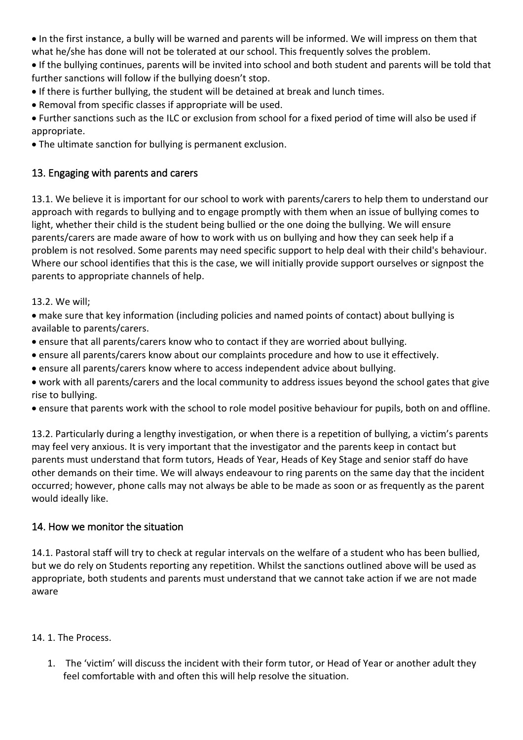• In the first instance, a bully will be warned and parents will be informed. We will impress on them that what he/she has done will not be tolerated at our school. This frequently solves the problem.

• If the bullying continues, parents will be invited into school and both student and parents will be told that further sanctions will follow if the bullying doesn't stop.

- If there is further bullying, the student will be detained at break and lunch times.
- Removal from specific classes if appropriate will be used.

• Further sanctions such as the ILC or exclusion from school for a fixed period of time will also be used if appropriate.

• The ultimate sanction for bullying is permanent exclusion.

# <span id="page-5-0"></span>13. Engaging with parents and carers

13.1. We believe it is important for our school to work with parents/carers to help them to understand our approach with regards to bullying and to engage promptly with them when an issue of bullying comes to light, whether their child is the student being bullied or the one doing the bullying. We will ensure parents/carers are made aware of how to work with us on bullying and how they can seek help if a problem is not resolved. Some parents may need specific support to help deal with their child's behaviour. Where our school identifies that this is the case, we will initially provide support ourselves or signpost the parents to appropriate channels of help.

13.2. We will;

• make sure that key information (including policies and named points of contact) about bullying is available to parents/carers.

- ensure that all parents/carers know who to contact if they are worried about bullying.
- ensure all parents/carers know about our complaints procedure and how to use it effectively.
- ensure all parents/carers know where to access independent advice about bullying.
- work with all parents/carers and the local community to address issues beyond the school gates that give rise to bullying.
- ensure that parents work with the school to role model positive behaviour for pupils, both on and offline.

13.2. Particularly during a lengthy investigation, or when there is a repetition of bullying, a victim's parents may feel very anxious. It is very important that the investigator and the parents keep in contact but parents must understand that form tutors, Heads of Year, Heads of Key Stage and senior staff do have other demands on their time. We will always endeavour to ring parents on the same day that the incident occurred; however, phone calls may not always be able to be made as soon or as frequently as the parent would ideally like.

### <span id="page-5-1"></span>14. How we monitor the situation

14.1. Pastoral staff will try to check at regular intervals on the welfare of a student who has been bullied, but we do rely on Students reporting any repetition. Whilst the sanctions outlined above will be used as appropriate, both students and parents must understand that we cannot take action if we are not made aware

### 14. 1. The Process.

1. The 'victim' will discuss the incident with their form tutor, or Head of Year or another adult they feel comfortable with and often this will help resolve the situation.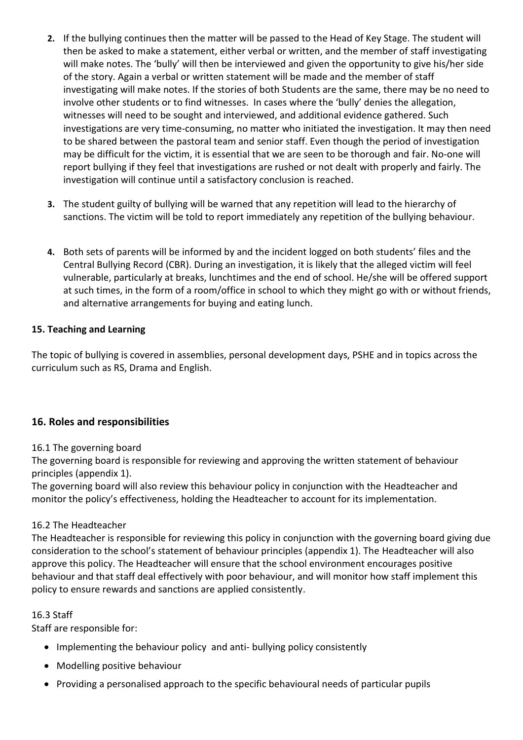- **2.** If the bullying continues then the matter will be passed to the Head of Key Stage. The student will then be asked to make a statement, either verbal or written, and the member of staff investigating will make notes. The 'bully' will then be interviewed and given the opportunity to give his/her side of the story. Again a verbal or written statement will be made and the member of staff investigating will make notes. If the stories of both Students are the same, there may be no need to involve other students or to find witnesses. In cases where the 'bully' denies the allegation, witnesses will need to be sought and interviewed, and additional evidence gathered. Such investigations are very time-consuming, no matter who initiated the investigation. It may then need to be shared between the pastoral team and senior staff. Even though the period of investigation may be difficult for the victim, it is essential that we are seen to be thorough and fair. No-one will report bullying if they feel that investigations are rushed or not dealt with properly and fairly. The investigation will continue until a satisfactory conclusion is reached.
- **3.** The student guilty of bullying will be warned that any repetition will lead to the hierarchy of sanctions. The victim will be told to report immediately any repetition of the bullying behaviour.
- **4.** Both sets of parents will be informed by and the incident logged on both students' files and the Central Bullying Record (CBR). During an investigation, it is likely that the alleged victim will feel vulnerable, particularly at breaks, lunchtimes and the end of school. He/she will be offered support at such times, in the form of a room/office in school to which they might go with or without friends, and alternative arrangements for buying and eating lunch.

### <span id="page-6-0"></span>**15. Teaching and Learning**

The topic of bullying is covered in assemblies, personal development days, PSHE and in topics across the curriculum such as RS, Drama and English.

### <span id="page-6-1"></span>**16. Roles and responsibilities**

### 16.1 The governing board

The governing board is responsible for reviewing and approving the written statement of behaviour principles (appendix 1).

The governing board will also review this behaviour policy in conjunction with the Headteacher and monitor the policy's effectiveness, holding the Headteacher to account for its implementation.

#### 16.2 The Headteacher

The Headteacher is responsible for reviewing this policy in conjunction with the governing board giving due consideration to the school's statement of behaviour principles (appendix 1). The Headteacher will also approve this policy. The Headteacher will ensure that the school environment encourages positive behaviour and that staff deal effectively with poor behaviour, and will monitor how staff implement this policy to ensure rewards and sanctions are applied consistently.

#### 16.3 Staff

Staff are responsible for:

- Implementing the behaviour policy and anti- bullying policy consistently
- Modelling positive behaviour
- Providing a personalised approach to the specific behavioural needs of particular pupils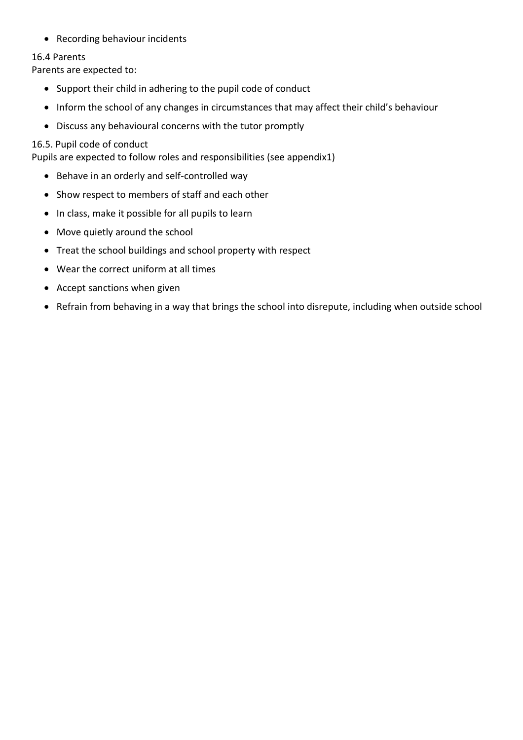• Recording behaviour incidents

#### 16.4 Parents

Parents are expected to:

- Support their child in adhering to the pupil code of conduct
- Inform the school of any changes in circumstances that may affect their child's behaviour
- Discuss any behavioural concerns with the tutor promptly

### 16.5. Pupil code of conduct

Pupils are expected to follow roles and responsibilities (see appendix1)

- Behave in an orderly and self-controlled way
- Show respect to members of staff and each other
- In class, make it possible for all pupils to learn
- Move quietly around the school
- Treat the school buildings and school property with respect
- Wear the correct uniform at all times
- Accept sanctions when given
- <span id="page-7-0"></span>• Refrain from behaving in a way that brings the school into disrepute, including when outside school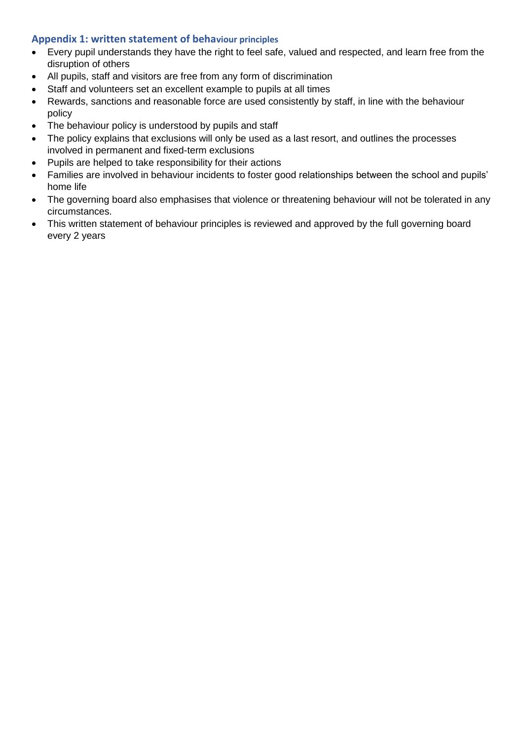### **Appendix 1: written statement of behaviour principles**

- Every pupil understands they have the right to feel safe, valued and respected, and learn free from the disruption of others
- All pupils, staff and visitors are free from any form of discrimination
- Staff and volunteers set an excellent example to pupils at all times
- Rewards, sanctions and reasonable force are used consistently by staff, in line with the behaviour policy
- The behaviour policy is understood by pupils and staff
- The policy explains that exclusions will only be used as a last resort, and outlines the processes involved in permanent and fixed-term exclusions
- Pupils are helped to take responsibility for their actions
- Families are involved in behaviour incidents to foster good relationships between the school and pupils' home life
- The governing board also emphasises that violence or threatening behaviour will not be tolerated in any circumstances.
- This written statement of behaviour principles is reviewed and approved by the full governing board every 2 years